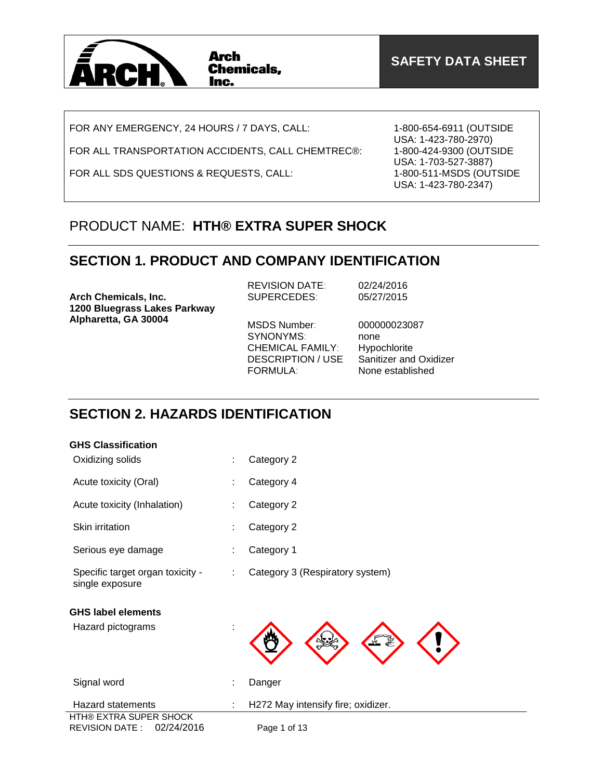

FOR ANY EMERGENCY, 24 HOURS / 7 DAYS, CALL:

FOR ALL TRANSPORTATION ACCIDENTS, CALL CHEMTREC®:

FOR ALL SDS QUESTIONS & REQUESTS, CALL:

1-800-654-6911 (OUTSIDE USA: 1-423-780-2970) 1-800-424-9300 (OUTSIDE USA: 1-703-527-3887) 1-800-511-MSDS (OUTSIDE USA: 1-423-780-2347)

# PRODUCT NAME: **HTH® EXTRA SUPER SHOCK**

# **SECTION 1. PRODUCT AND COMPANY IDENTIFICATION**

| <b>Arch Chemicals, Inc.</b>  | <b>REVISION DATE:</b>                                                                               | 02/24/2016                                                                         |
|------------------------------|-----------------------------------------------------------------------------------------------------|------------------------------------------------------------------------------------|
| 1200 Bluegrass Lakes Parkway | <b>SUPERCEDES:</b>                                                                                  | 05/27/2015                                                                         |
| Alpharetta, GA 30004         | MSDS Number:<br>SYNONYMS:<br><b>CHEMICAL FAMILY:</b><br><b>DESCRIPTION / USE</b><br><b>FORMULA:</b> | 000000023087<br>none<br>Hypochlorite<br>Sanitizer and Oxidizer<br>None established |

# **SECTION 2. HAZARDS IDENTIFICATION**

| <b>GHS Classification</b>                                            |   |                                    |
|----------------------------------------------------------------------|---|------------------------------------|
| Oxidizing solids                                                     |   | Category 2                         |
| Acute toxicity (Oral)                                                |   | Category 4                         |
| Acute toxicity (Inhalation)                                          |   | Category 2                         |
| Skin irritation                                                      |   | Category 2                         |
| Serious eye damage                                                   |   | Category 1                         |
| Specific target organ toxicity -<br>single exposure                  | ÷ | Category 3 (Respiratory system)    |
| <b>GHS label elements</b>                                            |   |                                    |
| Hazard pictograms                                                    |   |                                    |
| Signal word                                                          | ÷ | Danger                             |
| <b>Hazard statements</b>                                             |   | H272 May intensify fire; oxidizer. |
| <b>HTH® EXTRA SUPER SHOCK</b><br>02/24/2016<br><b>REVISION DATE:</b> |   | Page 1 of 13                       |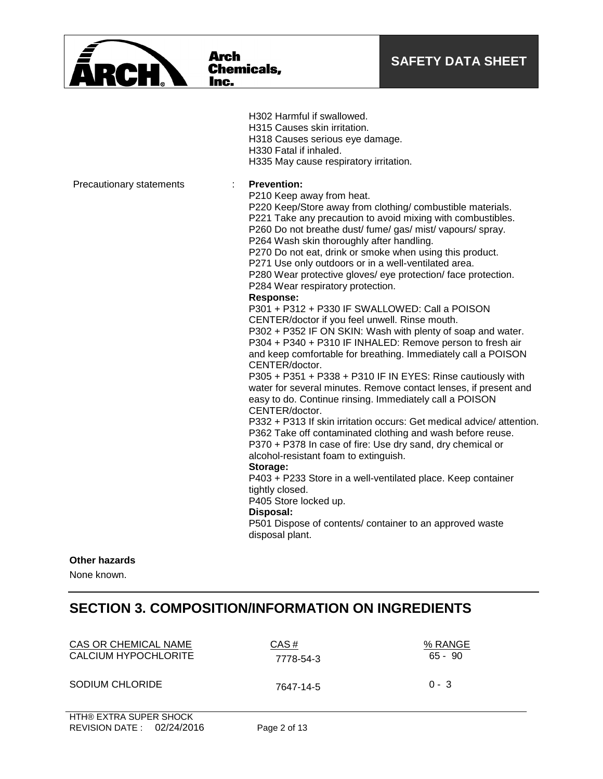

**Arch** 

Inc.

**Chemicals,** 

H302 Harmful if swallowed. H315 Causes skin irritation. H318 Causes serious eye damage. H330 Fatal if inhaled. H335 May cause respiratory irritation. Precautionary statements : **Prevention:**  P210 Keep away from heat. P220 Keep/Store away from clothing/ combustible materials. P221 Take any precaution to avoid mixing with combustibles. P260 Do not breathe dust/ fume/ gas/ mist/ vapours/ spray. P264 Wash skin thoroughly after handling. P270 Do not eat, drink or smoke when using this product. P271 Use only outdoors or in a well-ventilated area. P280 Wear protective gloves/ eye protection/ face protection. P284 Wear respiratory protection. **Response:**  P301 + P312 + P330 IF SWALLOWED: Call a POISON CENTER/doctor if you feel unwell. Rinse mouth. P302 + P352 IF ON SKIN: Wash with plenty of soap and water. P304 + P340 + P310 IF INHALED: Remove person to fresh air and keep comfortable for breathing. Immediately call a POISON CENTER/doctor. P305 + P351 + P338 + P310 IF IN EYES: Rinse cautiously with water for several minutes. Remove contact lenses, if present and easy to do. Continue rinsing. Immediately call a POISON CENTER/doctor. P332 + P313 If skin irritation occurs: Get medical advice/ attention. P362 Take off contaminated clothing and wash before reuse. P370 + P378 In case of fire: Use dry sand, dry chemical or alcohol-resistant foam to extinguish. **Storage:**  P403 + P233 Store in a well-ventilated place. Keep container tightly closed. P405 Store locked up. **Disposal:**  P501 Dispose of contents/ container to an approved waste disposal plant.

#### **Other hazards**

None known.

## **SECTION 3. COMPOSITION/INFORMATION ON INGREDIENTS**

| CAS OR CHEMICAL NAME | CAS#      | % RANGE |
|----------------------|-----------|---------|
| CALCIUM HYPOCHLORITE | 7778-54-3 | 65 - 90 |
| SODIUM CHLORIDE      | 7647-14-5 | $0 - 3$ |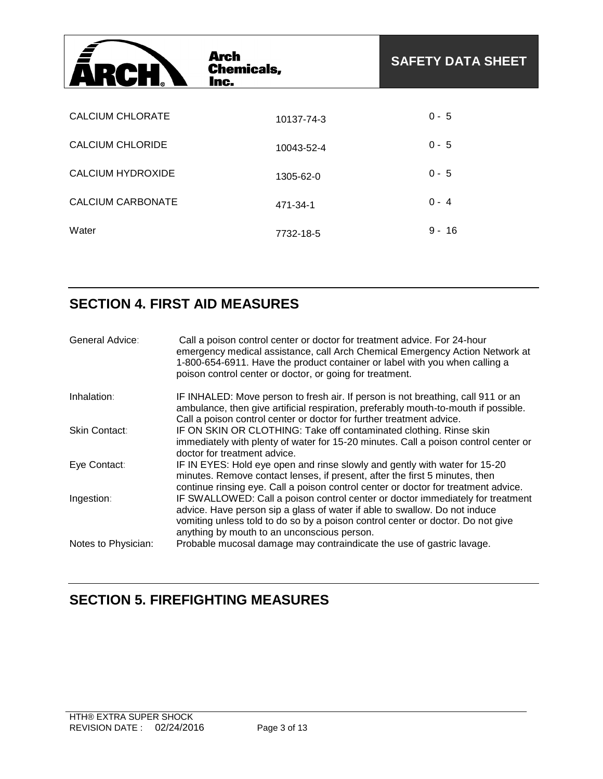| W<br>RCI<br>$\mathbf{I}_{\infty}$ | <b>Arch</b><br><b>Chemicals,</b><br>Inc. | <b>SAFETY DATA SHEET</b> |
|-----------------------------------|------------------------------------------|--------------------------|
|                                   |                                          |                          |
| CALCIUM CHLORATE                  | 10137-74-3                               | $0 - 5$                  |
| CALCIUM CHLORIDE                  | 10043-52-4                               | $0 - 5$                  |
| <b>CALCIUM HYDROXIDE</b>          | 1305-62-0                                | $0 - 5$                  |
| <b>CALCIUM CARBONATE</b>          | 471-34-1                                 | $0 - 4$                  |
| Water                             | 7732-18-5                                | $9 -$<br>16              |

# **SECTION 4. FIRST AID MEASURES**

| General Advice:     | Call a poison control center or doctor for treatment advice. For 24-hour<br>emergency medical assistance, call Arch Chemical Emergency Action Network at<br>1-800-654-6911. Have the product container or label with you when calling a<br>poison control center or doctor, or going for treatment. |
|---------------------|-----------------------------------------------------------------------------------------------------------------------------------------------------------------------------------------------------------------------------------------------------------------------------------------------------|
| Inhalation:         | IF INHALED: Move person to fresh air. If person is not breathing, call 911 or an<br>ambulance, then give artificial respiration, preferably mouth-to-mouth if possible.<br>Call a poison control center or doctor for further treatment advice.                                                     |
| Skin Contact:       | IF ON SKIN OR CLOTHING: Take off contaminated clothing. Rinse skin<br>immediately with plenty of water for 15-20 minutes. Call a poison control center or<br>doctor for treatment advice.                                                                                                           |
| Eye Contact:        | IF IN EYES: Hold eye open and rinse slowly and gently with water for 15-20<br>minutes. Remove contact lenses, if present, after the first 5 minutes, then<br>continue rinsing eye. Call a poison control center or doctor for treatment advice.                                                     |
| Ingestion:          | IF SWALLOWED: Call a poison control center or doctor immediately for treatment<br>advice. Have person sip a glass of water if able to swallow. Do not induce<br>vomiting unless told to do so by a poison control center or doctor. Do not give<br>anything by mouth to an unconscious person.      |
| Notes to Physician: | Probable mucosal damage may contraindicate the use of gastric lavage.                                                                                                                                                                                                                               |

# **SECTION 5. FIREFIGHTING MEASURES**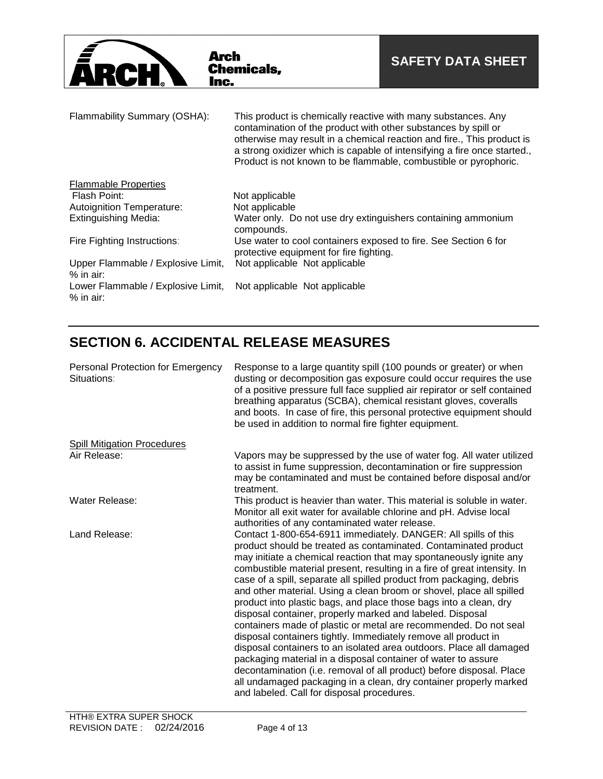

| Flammability Summary (OSHA):                      | This product is chemically reactive with many substances. Any<br>contamination of the product with other substances by spill or<br>otherwise may result in a chemical reaction and fire., This product is<br>a strong oxidizer which is capable of intensifying a fire once started.<br>Product is not known to be flammable, combustible or pyrophoric. |
|---------------------------------------------------|----------------------------------------------------------------------------------------------------------------------------------------------------------------------------------------------------------------------------------------------------------------------------------------------------------------------------------------------------------|
| <b>Flammable Properties</b>                       |                                                                                                                                                                                                                                                                                                                                                          |
| Flash Point:                                      | Not applicable                                                                                                                                                                                                                                                                                                                                           |
| Autoignition Temperature:                         | Not applicable                                                                                                                                                                                                                                                                                                                                           |
| <b>Extinguishing Media:</b>                       | Water only. Do not use dry extinguishers containing ammonium<br>compounds.                                                                                                                                                                                                                                                                               |
| Fire Fighting Instructions:                       | Use water to cool containers exposed to fire. See Section 6 for<br>protective equipment for fire fighting.                                                                                                                                                                                                                                               |
| Upper Flammable / Explosive Limit,                | Not applicable Not applicable                                                                                                                                                                                                                                                                                                                            |
| $%$ in air:                                       |                                                                                                                                                                                                                                                                                                                                                          |
| Lower Flammable / Explosive Limit,<br>$%$ in air: | Not applicable Not applicable                                                                                                                                                                                                                                                                                                                            |

# **SECTION 6. ACCIDENTAL RELEASE MEASURES**

| Personal Protection for Emergency<br>Situations: | Response to a large quantity spill (100 pounds or greater) or when<br>dusting or decomposition gas exposure could occur requires the use<br>of a positive pressure full face supplied air repirator or self contained<br>breathing apparatus (SCBA), chemical resistant gloves, coveralls<br>and boots. In case of fire, this personal protective equipment should<br>be used in addition to normal fire fighter equipment.                                                                                                                                                                                                                                                                                                                                                                                                                                                                                                                                                                                                                    |
|--------------------------------------------------|------------------------------------------------------------------------------------------------------------------------------------------------------------------------------------------------------------------------------------------------------------------------------------------------------------------------------------------------------------------------------------------------------------------------------------------------------------------------------------------------------------------------------------------------------------------------------------------------------------------------------------------------------------------------------------------------------------------------------------------------------------------------------------------------------------------------------------------------------------------------------------------------------------------------------------------------------------------------------------------------------------------------------------------------|
| <b>Spill Mitigation Procedures</b>               |                                                                                                                                                                                                                                                                                                                                                                                                                                                                                                                                                                                                                                                                                                                                                                                                                                                                                                                                                                                                                                                |
| Air Release:                                     | Vapors may be suppressed by the use of water fog. All water utilized<br>to assist in fume suppression, decontamination or fire suppression<br>may be contaminated and must be contained before disposal and/or<br>treatment.                                                                                                                                                                                                                                                                                                                                                                                                                                                                                                                                                                                                                                                                                                                                                                                                                   |
| Water Release:                                   | This product is heavier than water. This material is soluble in water.<br>Monitor all exit water for available chlorine and pH. Advise local<br>authorities of any contaminated water release.                                                                                                                                                                                                                                                                                                                                                                                                                                                                                                                                                                                                                                                                                                                                                                                                                                                 |
| Land Release:                                    | Contact 1-800-654-6911 immediately. DANGER: All spills of this<br>product should be treated as contaminated. Contaminated product<br>may initiate a chemical reaction that may spontaneously ignite any<br>combustible material present, resulting in a fire of great intensity. In<br>case of a spill, separate all spilled product from packaging, debris<br>and other material. Using a clean broom or shovel, place all spilled<br>product into plastic bags, and place those bags into a clean, dry<br>disposal container, properly marked and labeled. Disposal<br>containers made of plastic or metal are recommended. Do not seal<br>disposal containers tightly. Immediately remove all product in<br>disposal containers to an isolated area outdoors. Place all damaged<br>packaging material in a disposal container of water to assure<br>decontamination (i.e. removal of all product) before disposal. Place<br>all undamaged packaging in a clean, dry container properly marked<br>and labeled. Call for disposal procedures. |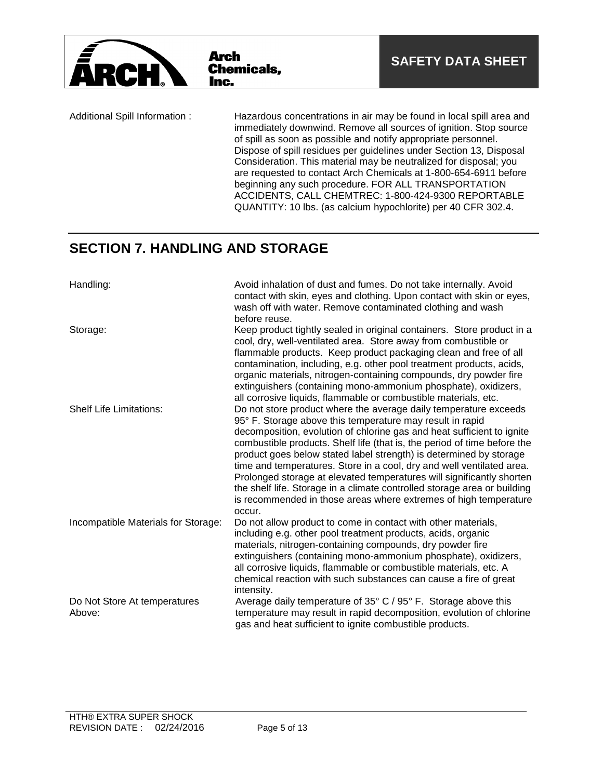

Additional Spill Information : Hazardous concentrations in air may be found in local spill area and immediately downwind. Remove all sources of ignition. Stop source of spill as soon as possible and notify appropriate personnel. Dispose of spill residues per guidelines under Section 13, Disposal Consideration. This material may be neutralized for disposal; you are requested to contact Arch Chemicals at 1-800-654-6911 before beginning any such procedure. FOR ALL TRANSPORTATION ACCIDENTS, CALL CHEMTREC: 1-800-424-9300 REPORTABLE QUANTITY: 10 lbs. (as calcium hypochlorite) per 40 CFR 302.4.

## **SECTION 7. HANDLING AND STORAGE**

**Arch** 

Inc.

**Chemicals,** 

| Handling:                              | Avoid inhalation of dust and fumes. Do not take internally. Avoid<br>contact with skin, eyes and clothing. Upon contact with skin or eyes,<br>wash off with water. Remove contaminated clothing and wash<br>before reuse.                                                                                                                                                                                                                                                                                                                                                                                                                                             |
|----------------------------------------|-----------------------------------------------------------------------------------------------------------------------------------------------------------------------------------------------------------------------------------------------------------------------------------------------------------------------------------------------------------------------------------------------------------------------------------------------------------------------------------------------------------------------------------------------------------------------------------------------------------------------------------------------------------------------|
| Storage:                               | Keep product tightly sealed in original containers. Store product in a<br>cool, dry, well-ventilated area. Store away from combustible or<br>flammable products. Keep product packaging clean and free of all<br>contamination, including, e.g. other pool treatment products, acids,<br>organic materials, nitrogen-containing compounds, dry powder fire<br>extinguishers (containing mono-ammonium phosphate), oxidizers,<br>all corrosive liquids, flammable or combustible materials, etc.                                                                                                                                                                       |
| <b>Shelf Life Limitations:</b>         | Do not store product where the average daily temperature exceeds<br>95° F. Storage above this temperature may result in rapid<br>decomposition, evolution of chlorine gas and heat sufficient to ignite<br>combustible products. Shelf life (that is, the period of time before the<br>product goes below stated label strength) is determined by storage<br>time and temperatures. Store in a cool, dry and well ventilated area.<br>Prolonged storage at elevated temperatures will significantly shorten<br>the shelf life. Storage in a climate controlled storage area or building<br>is recommended in those areas where extremes of high temperature<br>occur. |
| Incompatible Materials for Storage:    | Do not allow product to come in contact with other materials,<br>including e.g. other pool treatment products, acids, organic<br>materials, nitrogen-containing compounds, dry powder fire<br>extinguishers (containing mono-ammonium phosphate), oxidizers,<br>all corrosive liquids, flammable or combustible materials, etc. A<br>chemical reaction with such substances can cause a fire of great<br>intensity.                                                                                                                                                                                                                                                   |
| Do Not Store At temperatures<br>Above: | Average daily temperature of 35° C / 95° F. Storage above this<br>temperature may result in rapid decomposition, evolution of chlorine<br>gas and heat sufficient to ignite combustible products.                                                                                                                                                                                                                                                                                                                                                                                                                                                                     |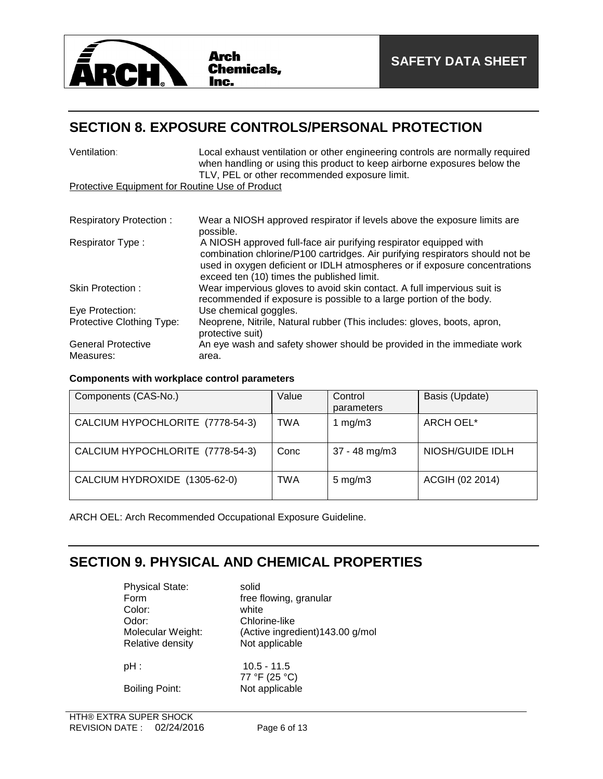

# **SECTION 8. EXPOSURE CONTROLS/PERSONAL PROTECTION**

| Ventilation:                                    | Local exhaust ventilation or other engineering controls are normally required<br>when handling or using this product to keep airborne exposures below the<br>TLV, PEL or other recommended exposure limit.                                                                                  |
|-------------------------------------------------|---------------------------------------------------------------------------------------------------------------------------------------------------------------------------------------------------------------------------------------------------------------------------------------------|
| Protective Equipment for Routine Use of Product |                                                                                                                                                                                                                                                                                             |
| <b>Respiratory Protection:</b>                  | Wear a NIOSH approved respirator if levels above the exposure limits are                                                                                                                                                                                                                    |
| Respirator Type:                                | possible.<br>A NIOSH approved full-face air purifying respirator equipped with<br>combination chlorine/P100 cartridges. Air purifying respirators should not be<br>used in oxygen deficient or IDLH atmospheres or if exposure concentrations<br>exceed ten (10) times the published limit. |
| Skin Protection:                                | Wear impervious gloves to avoid skin contact. A full impervious suit is<br>recommended if exposure is possible to a large portion of the body.                                                                                                                                              |
| Eye Protection:                                 | Use chemical goggles.                                                                                                                                                                                                                                                                       |
| Protective Clothing Type:                       | Neoprene, Nitrile, Natural rubber (This includes: gloves, boots, apron,<br>protective suit)                                                                                                                                                                                                 |
| <b>General Protective</b><br>Measures:          | An eye wash and safety shower should be provided in the immediate work<br>area.                                                                                                                                                                                                             |

### **Components with workplace control parameters**

| Components (CAS-No.)             | Value      | Control<br>parameters | Basis (Update)   |
|----------------------------------|------------|-----------------------|------------------|
| CALCIUM HYPOCHLORITE (7778-54-3) | <b>TWA</b> | 1 mg/m $3$            | ARCH OEL*        |
| CALCIUM HYPOCHLORITE (7778-54-3) | Conc       | $37 - 48$ mg/m $3$    | NIOSH/GUIDE IDLH |
| CALCIUM HYDROXIDE (1305-62-0)    | TWA        | $5 \text{ mg/m}$ 3    | ACGIH (02 2014)  |

ARCH OEL: Arch Recommended Occupational Exposure Guideline.

## **SECTION 9. PHYSICAL AND CHEMICAL PROPERTIES**

Physical State: solid Color: Odor: Chlorine-like Relative density

Form free flowing, granular<br>Color: white Molecular Weight: (Active ingredient)143.00 g/mol<br>
Relative density **Not** applicable

pH : 10.5 - 11.5

77 °F (25 °C) Boiling Point: Not applicable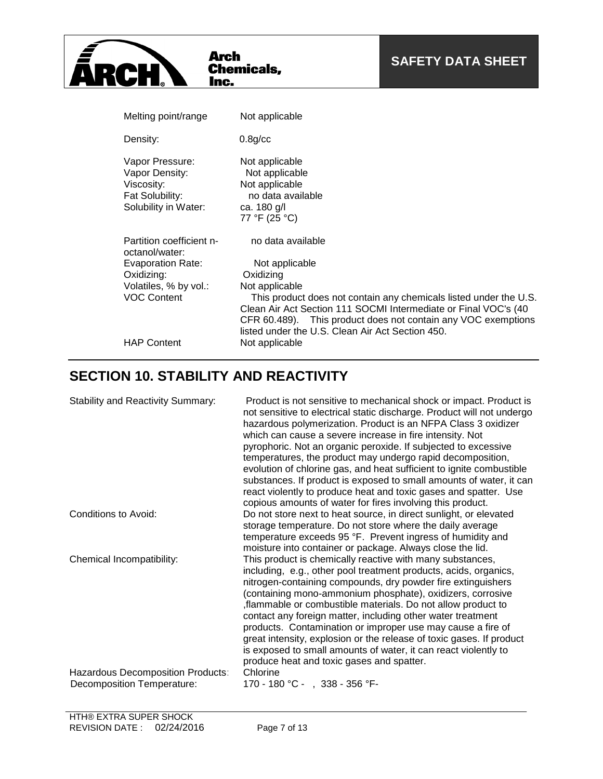

| Melting point/range                                                                        | Not applicable                                                                                                                                                                       |
|--------------------------------------------------------------------------------------------|--------------------------------------------------------------------------------------------------------------------------------------------------------------------------------------|
| Density:                                                                                   | $0.8$ g/cc                                                                                                                                                                           |
| Vapor Pressure:<br>Vapor Density:<br>Viscosity:<br>Fat Solubility:<br>Solubility in Water: | Not applicable<br>Not applicable<br>Not applicable<br>no data available<br>ca. 180 g/l<br>77 °F (25 °C)                                                                              |
| Partition coefficient n-<br>octanol/water:                                                 | no data available                                                                                                                                                                    |
| Evaporation Rate:                                                                          | Not applicable                                                                                                                                                                       |
| Oxidizing:                                                                                 | Oxidizing                                                                                                                                                                            |
| Volatiles, % by vol.:                                                                      | Not applicable                                                                                                                                                                       |
| <b>VOC Content</b>                                                                         | This product does not contain any chemicals listed under the U.S.                                                                                                                    |
|                                                                                            | Clean Air Act Section 111 SOCMI Intermediate or Final VOC's (40<br>CFR 60.489). This product does not contain any VOC exemptions<br>listed under the U.S. Clean Air Act Section 450. |
| <b>HAP Content</b>                                                                         | Not applicable                                                                                                                                                                       |
|                                                                                            |                                                                                                                                                                                      |

# **SECTION 10. STABILITY AND REACTIVITY**

| <b>Stability and Reactivity Summary:</b>                        | Product is not sensitive to mechanical shock or impact. Product is<br>not sensitive to electrical static discharge. Product will not undergo<br>hazardous polymerization. Product is an NFPA Class 3 oxidizer<br>which can cause a severe increase in fire intensity. Not<br>pyrophoric. Not an organic peroxide. If subjected to excessive<br>temperatures, the product may undergo rapid decomposition,<br>evolution of chlorine gas, and heat sufficient to ignite combustible<br>substances. If product is exposed to small amounts of water, it can<br>react violently to produce heat and toxic gases and spatter. Use<br>copious amounts of water for fires involving this product. |
|-----------------------------------------------------------------|--------------------------------------------------------------------------------------------------------------------------------------------------------------------------------------------------------------------------------------------------------------------------------------------------------------------------------------------------------------------------------------------------------------------------------------------------------------------------------------------------------------------------------------------------------------------------------------------------------------------------------------------------------------------------------------------|
| Conditions to Avoid:                                            | Do not store next to heat source, in direct sunlight, or elevated<br>storage temperature. Do not store where the daily average<br>temperature exceeds 95 °F. Prevent ingress of humidity and<br>moisture into container or package. Always close the lid.                                                                                                                                                                                                                                                                                                                                                                                                                                  |
| Chemical Incompatibility:                                       | This product is chemically reactive with many substances,<br>including, e.g., other pool treatment products, acids, organics,<br>nitrogen-containing compounds, dry powder fire extinguishers<br>(containing mono-ammonium phosphate), oxidizers, corrosive<br>flammable or combustible materials. Do not allow product to<br>contact any foreign matter, including other water treatment<br>products. Contamination or improper use may cause a fire of<br>great intensity, explosion or the release of toxic gases. If product<br>is exposed to small amounts of water, it can react violently to<br>produce heat and toxic gases and spatter.                                           |
| Hazardous Decomposition Products:<br>Decomposition Temperature: | Chlorine<br>170 - 180 °C - , 338 - 356 °F-                                                                                                                                                                                                                                                                                                                                                                                                                                                                                                                                                                                                                                                 |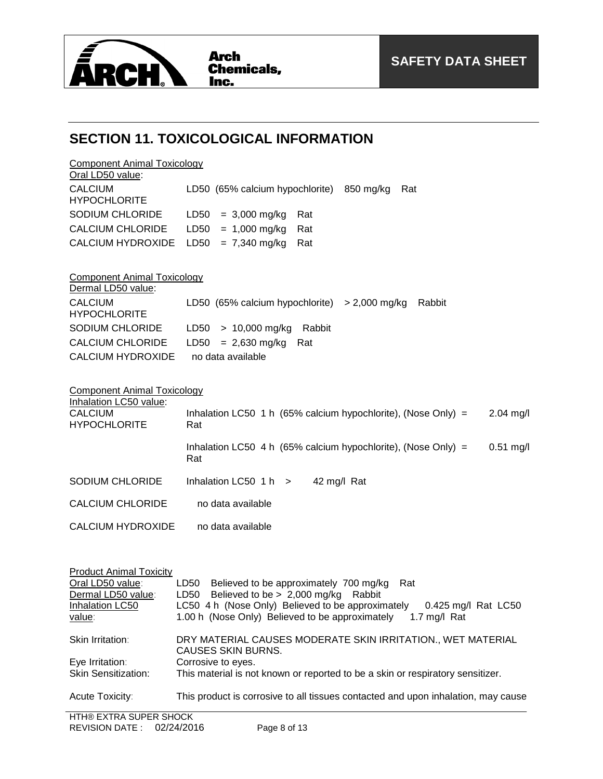

# **SECTION 11. TOXICOLOGICAL INFORMATION**

| <b>Component Animal Toxicology</b><br>Oral LD50 value:                                              |                                                                                                                       |  |  |
|-----------------------------------------------------------------------------------------------------|-----------------------------------------------------------------------------------------------------------------------|--|--|
| <b>CALCIUM</b><br><b>HYPOCHLORITE</b>                                                               | LD50 (65% calcium hypochlorite)<br>850 mg/kg<br>Rat                                                                   |  |  |
| SODIUM CHLORIDE                                                                                     | LD50<br>$= 3,000$ mg/kg<br>Rat                                                                                        |  |  |
| <b>CALCIUM CHLORIDE</b>                                                                             | LD50<br>$= 1,000$ mg/kg<br>Rat                                                                                        |  |  |
| <b>CALCIUM HYDROXIDE</b>                                                                            | LD50<br>$= 7,340$ mg/kg<br>Rat                                                                                        |  |  |
|                                                                                                     |                                                                                                                       |  |  |
| <b>Component Animal Toxicology</b><br>Dermal LD50 value:                                            |                                                                                                                       |  |  |
| <b>CALCIUM</b><br><b>HYPOCHLORITE</b>                                                               | LD50 (65% calcium hypochlorite)<br>> 2,000 mg/kg<br>Rabbit                                                            |  |  |
| SODIUM CHLORIDE                                                                                     | > 10,000 mg/kg<br>LD50<br>Rabbit                                                                                      |  |  |
| <b>CALCIUM CHLORIDE</b>                                                                             | $= 2,630$ mg/kg<br>LD <sub>50</sub><br>Rat                                                                            |  |  |
| <b>CALCIUM HYDROXIDE</b>                                                                            | no data available                                                                                                     |  |  |
| <b>Component Animal Toxicology</b><br>Inhalation LC50 value:                                        |                                                                                                                       |  |  |
| <b>CALCIUM</b>                                                                                      | Inhalation LC50 1 h (65% calcium hypochlorite), (Nose Only) =<br>$2.04$ mg/l                                          |  |  |
| <b>HYPOCHLORITE</b>                                                                                 | Rat                                                                                                                   |  |  |
|                                                                                                     | Inhalation LC50 4 h (65% calcium hypochlorite), (Nose Only) =<br>$0.51$ mg/l<br>Rat                                   |  |  |
| SODIUM CHLORIDE                                                                                     | Inhalation LC50 $1 h$ ><br>42 mg/l Rat                                                                                |  |  |
| <b>CALCIUM CHLORIDE</b>                                                                             | no data available                                                                                                     |  |  |
| <b>CALCIUM HYDROXIDE</b><br>no data available                                                       |                                                                                                                       |  |  |
|                                                                                                     |                                                                                                                       |  |  |
| <b>Product Animal Toxicity</b>                                                                      |                                                                                                                       |  |  |
| Oral LD50 value:<br>Dermal LD50 value:                                                              | LD <sub>50</sub><br>Believed to be approximately 700 mg/kg<br>Rat<br>LD50<br>Believed to be $> 2,000$ mg/kg<br>Rabbit |  |  |
| Inhalation LC50                                                                                     | LC50 4 h (Nose Only) Believed to be approximately<br>0.425 mg/l Rat LC50                                              |  |  |
| value:                                                                                              | 1.00 h (Nose Only) Believed to be approximately<br>1.7 mg/l Rat                                                       |  |  |
| Skin Irritation:                                                                                    | DRY MATERIAL CAUSES MODERATE SKIN IRRITATION., WET MATERIAL<br><b>CAUSES SKIN BURNS.</b>                              |  |  |
| Eye Irritation:                                                                                     | Corrosive to eyes.                                                                                                    |  |  |
| <b>Skin Sensitization:</b>                                                                          | This material is not known or reported to be a skin or respiratory sensitizer.                                        |  |  |
| Acute Toxicity:<br>$\overline{117110}$ $\overline{51/751}$ $\overline{011550}$ $\overline{0110010}$ | This product is corrosive to all tissues contacted and upon inhalation, may cause                                     |  |  |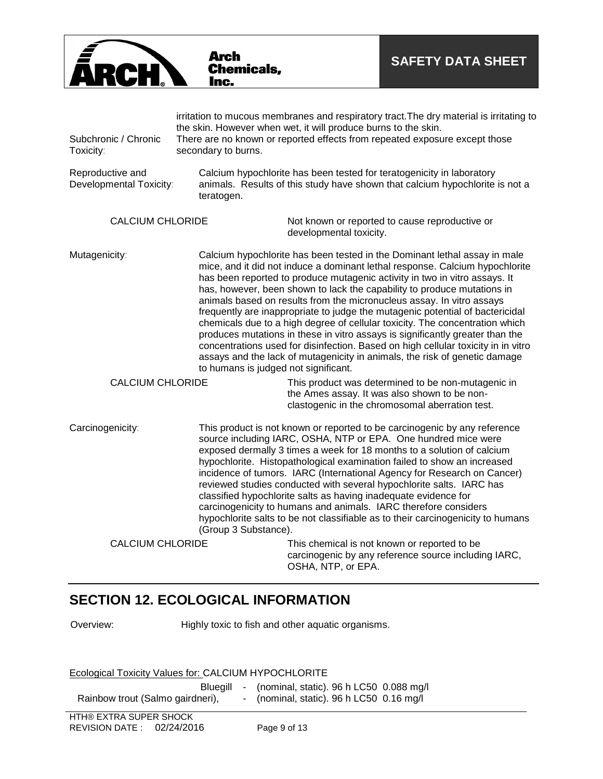

| Subchronic / Chronic<br>Toxicity:           | secondary to burns.                  | irritation to mucous membranes and respiratory tract. The dry material is irritating to<br>the skin. However when wet, it will produce burns to the skin.<br>There are no known or reported effects from repeated exposure except those                                                                                                                                                                                                                                                                                                                                                                                                                                                                                                                                                                          |
|---------------------------------------------|--------------------------------------|------------------------------------------------------------------------------------------------------------------------------------------------------------------------------------------------------------------------------------------------------------------------------------------------------------------------------------------------------------------------------------------------------------------------------------------------------------------------------------------------------------------------------------------------------------------------------------------------------------------------------------------------------------------------------------------------------------------------------------------------------------------------------------------------------------------|
| Reproductive and<br>Developmental Toxicity: | teratogen.                           | Calcium hypochlorite has been tested for teratogenicity in laboratory<br>animals. Results of this study have shown that calcium hypochlorite is not a                                                                                                                                                                                                                                                                                                                                                                                                                                                                                                                                                                                                                                                            |
| <b>CALCIUM CHLORIDE</b>                     |                                      | Not known or reported to cause reproductive or<br>developmental toxicity.                                                                                                                                                                                                                                                                                                                                                                                                                                                                                                                                                                                                                                                                                                                                        |
| Mutagenicity:                               | to humans is judged not significant. | Calcium hypochlorite has been tested in the Dominant lethal assay in male<br>mice, and it did not induce a dominant lethal response. Calcium hypochlorite<br>has been reported to produce mutagenic activity in two in vitro assays. It<br>has, however, been shown to lack the capability to produce mutations in<br>animals based on results from the micronucleus assay. In vitro assays<br>frequently are inappropriate to judge the mutagenic potential of bactericidal<br>chemicals due to a high degree of cellular toxicity. The concentration which<br>produces mutations in these in vitro assays is significantly greater than the<br>concentrations used for disinfection. Based on high cellular toxicity in in vitro<br>assays and the lack of mutagenicity in animals, the risk of genetic damage |
| <b>CALCIUM CHLORIDE</b>                     |                                      | This product was determined to be non-mutagenic in<br>the Ames assay. It was also shown to be non-<br>clastogenic in the chromosomal aberration test.                                                                                                                                                                                                                                                                                                                                                                                                                                                                                                                                                                                                                                                            |
| Carcinogenicity:                            | (Group 3 Substance).                 | This product is not known or reported to be carcinogenic by any reference<br>source including IARC, OSHA, NTP or EPA. One hundred mice were<br>exposed dermally 3 times a week for 18 months to a solution of calcium<br>hypochlorite. Histopathological examination failed to show an increased<br>incidence of tumors. IARC (International Agency for Research on Cancer)<br>reviewed studies conducted with several hypochlorite salts. IARC has<br>classified hypochlorite salts as having inadequate evidence for<br>carcinogenicity to humans and animals. IARC therefore considers<br>hypochlorite salts to be not classifiable as to their carcinogenicity to humans                                                                                                                                     |
| <b>CALCIUM CHLORIDE</b>                     |                                      | This chemical is not known or reported to be<br>carcinogenic by any reference source including IARC,<br>OSHA, NTP, or EPA.                                                                                                                                                                                                                                                                                                                                                                                                                                                                                                                                                                                                                                                                                       |

## **SECTION 12. ECOLOGICAL INFORMATION**

Overview: Highly toxic to fish and other aquatic organisms.

Ecological Toxicity Values for: CALCIUM HYPOCHLORITE

|                                  | Bluegill - (nominal, static). 96 h LC50 0.088 mg/l |  |
|----------------------------------|----------------------------------------------------|--|
| Rainbow trout (Salmo gairdneri), | - (nominal, static). $96 h$ LC50 0.16 mg/l         |  |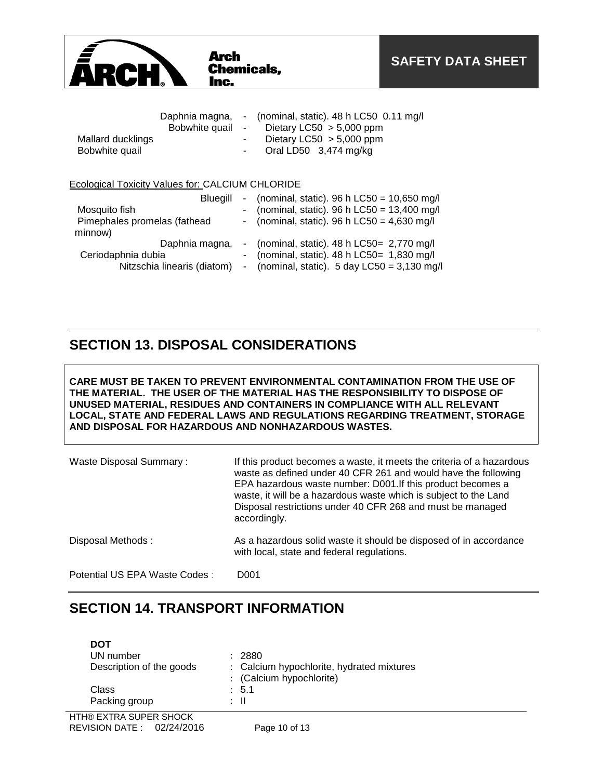

|                   | Daphnia magna, | - (nominal, static). $48 h$ LC50 0.11 mg/l |
|-------------------|----------------|--------------------------------------------|
|                   |                | Bobwhite quail - Dietary LC50 > 5,000 ppm  |
| Mallard ducklings |                | - Dietary LC50 $>$ 5,000 ppm               |
| Bobwhite quail    |                | - Oral LD50 $3,474$ mg/kg                  |
|                   |                |                                            |
|                   |                |                                            |

### Ecological Toxicity Values for: CALCIUM CHLORIDE

| <b>Blueaill</b><br>Mosquito fish<br>Pimephales promelas (fathead<br>minnow) | - (nominal, static). 96 h LC50 = $10,650$ mg/l<br>- (nominal, static). 96 h LC50 = $13,400$ mg/l<br>- (nominal, static). 96 h LC50 = $4,630$ mg/l        |
|-----------------------------------------------------------------------------|----------------------------------------------------------------------------------------------------------------------------------------------------------|
| Daphnia magna,<br>Ceriodaphnia dubia<br>Nitzschia linearis (diatom)         | - (nominal, static). $48 h$ LC50 = 2,770 mg/l<br>- (nominal, static). $48 h$ LC50= 1,830 mg/l<br>- (nominal, static). $5 \text{ day }$ LC50 = 3,130 mg/l |

## **SECTION 13. DISPOSAL CONSIDERATIONS**

**CARE MUST BE TAKEN TO PREVENT ENVIRONMENTAL CONTAMINATION FROM THE USE OF THE MATERIAL. THE USER OF THE MATERIAL HAS THE RESPONSIBILITY TO DISPOSE OF UNUSED MATERIAL, RESIDUES AND CONTAINERS IN COMPLIANCE WITH ALL RELEVANT LOCAL, STATE AND FEDERAL LAWS AND REGULATIONS REGARDING TREATMENT, STORAGE AND DISPOSAL FOR HAZARDOUS AND NONHAZARDOUS WASTES.** 

| <b>Waste Disposal Summary:</b> | If this product becomes a waste, it meets the criteria of a hazardous<br>waste as defined under 40 CFR 261 and would have the following<br>EPA hazardous waste number: D001. If this product becomes a<br>waste, it will be a hazardous waste which is subject to the Land<br>Disposal restrictions under 40 CFR 268 and must be managed<br>accordingly. |
|--------------------------------|----------------------------------------------------------------------------------------------------------------------------------------------------------------------------------------------------------------------------------------------------------------------------------------------------------------------------------------------------------|
| Disposal Methods:              | As a hazardous solid waste it should be disposed of in accordance<br>with local, state and federal regulations.                                                                                                                                                                                                                                          |
| Potential US EPA Waste Codes:  | D001                                                                                                                                                                                                                                                                                                                                                     |

## **SECTION 14. TRANSPORT INFORMATION**

| DOT                      |                                           |
|--------------------------|-------------------------------------------|
| UN number                | : 2880                                    |
| Description of the goods | : Calcium hypochlorite, hydrated mixtures |
|                          | : (Calcium hypochlorite)                  |
| Class                    | : 5.1                                     |
| Packing group            | : II                                      |
| TH® EXTRA SUPER SHOCK    |                                           |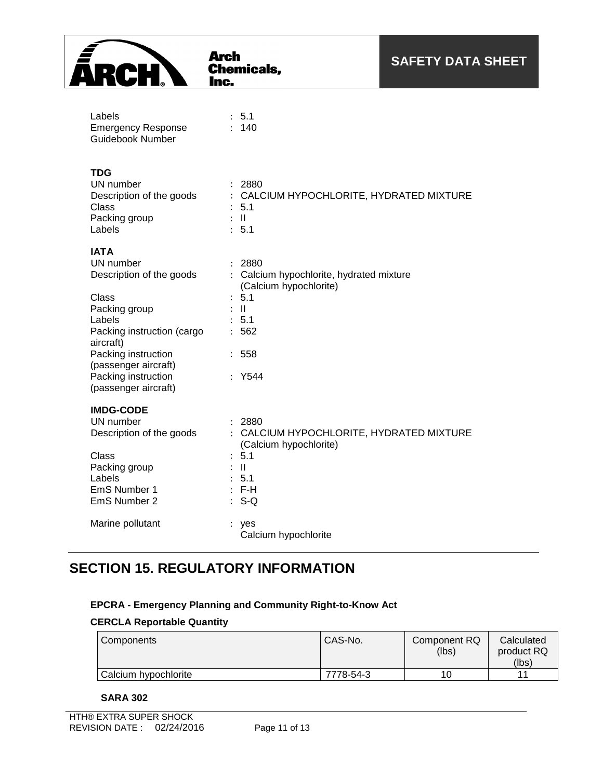

**Arch<br>Chemicals,<br><u>Inc.</u>** 

| Labels<br><b>Emergency Response</b><br><b>Guidebook Number</b>                                                                                                            | : 5.1<br>: 140                                                                                                                 |
|---------------------------------------------------------------------------------------------------------------------------------------------------------------------------|--------------------------------------------------------------------------------------------------------------------------------|
| <b>TDG</b><br>UN number<br>Description of the goods<br>Class<br>Packing group<br>Labels                                                                                   | 2880<br>CALCIUM HYPOCHLORITE, HYDRATED MIXTURE<br>5.1<br>$\pm$ 11<br>: 5.1                                                     |
| <b>IATA</b><br>UN number<br>Description of the goods                                                                                                                      | 2880<br>$\ddot{\phantom{a}}$<br>: Calcium hypochlorite, hydrated mixture                                                       |
| Class<br>Packing group<br>Labels<br>Packing instruction (cargo<br>aircraft)<br>Packing instruction<br>(passenger aircraft)<br>Packing instruction<br>(passenger aircraft) | (Calcium hypochlorite)<br>: 5.1<br>$\mathbf{H}$<br>: 5.1<br>562<br>558<br>Y544                                                 |
| <b>IMDG-CODE</b><br>UN number<br>Description of the goods<br>Class<br>Packing group<br>Labels<br>EmS Number 1<br>EmS Number 2                                             | 2880<br>CALCIUM HYPOCHLORITE, HYDRATED MIXTURE<br>(Calcium hypochlorite)<br>5.1<br>$\mathbf{H}$<br>5.1<br>$E = F - H$<br>$S-Q$ |
| Marine pollutant                                                                                                                                                          | yes<br>Calcium hypochlorite                                                                                                    |

# **SECTION 15. REGULATORY INFORMATION**

### **EPCRA - Emergency Planning and Community Right-to-Know Act**

### **CERCLA Reportable Quantity**

| Components                  | CAS-No.   | Component RQ<br>(lbs) | Calculated<br>product RQ<br>(lbs) |
|-----------------------------|-----------|-----------------------|-----------------------------------|
| <b>Calcium hypochlorite</b> | 7778-54-3 | 10                    |                                   |

### **SARA 302**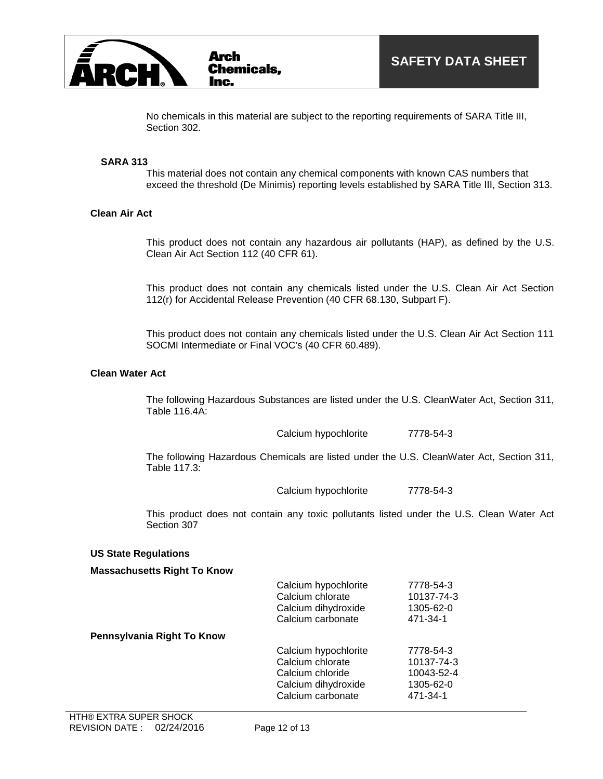

No chemicals in this material are subject to the reporting requirements of SARA Title III, Section 302.

#### **SARA 313**

This material does not contain any chemical components with known CAS numbers that exceed the threshold (De Minimis) reporting levels established by SARA Title III, Section 313.

#### **Clean Air Act**

This product does not contain any hazardous air pollutants (HAP), as defined by the U.S. Clean Air Act Section 112 (40 CFR 61).

This product does not contain any chemicals listed under the U.S. Clean Air Act Section 112(r) for Accidental Release Prevention (40 CFR 68.130, Subpart F).

This product does not contain any chemicals listed under the U.S. Clean Air Act Section 111 SOCMI Intermediate or Final VOC's (40 CFR 60.489).

### **Clean Water Act**

The following Hazardous Substances are listed under the U.S. CleanWater Act, Section 311, Table 116.4A:

Calcium hypochlorite 7778-54-3

The following Hazardous Chemicals are listed under the U.S. CleanWater Act, Section 311, Table 117.3:

Calcium hypochlorite 7778-54-3

This product does not contain any toxic pollutants listed under the U.S. Clean Water Act Section 307

#### **US State Regulations**

**Massachusetts Right To Know**

|                            | Calcium hypochlorite | 7778-54-3  |
|----------------------------|----------------------|------------|
|                            | Calcium chlorate     | 10137-74-3 |
|                            | Calcium dihydroxide  | 1305-62-0  |
|                            | Calcium carbonate    | 471-34-1   |
| Pennsylvania Right To Know |                      |            |
|                            | Calcium hypochlorite | 7778-54-3  |
|                            | Calcium chlorate     | 10137-74-3 |
|                            | Calcium chloride     | 10043-52-4 |
|                            | Calcium dihydroxide  | 1305-62-0  |
|                            | Calcium carbonate    | 471-34-1   |
|                            |                      |            |